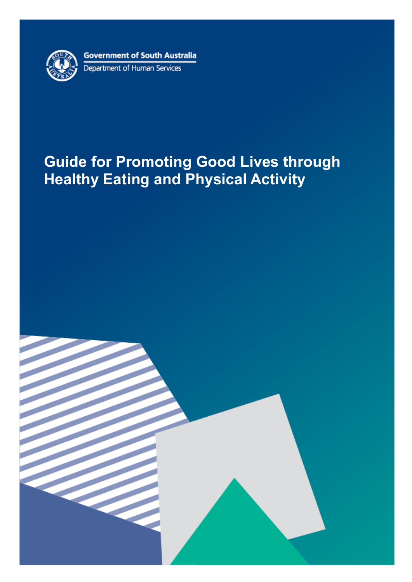

# **Guide for Promoting Good Lives through Healthy Eating and Physical Activity**

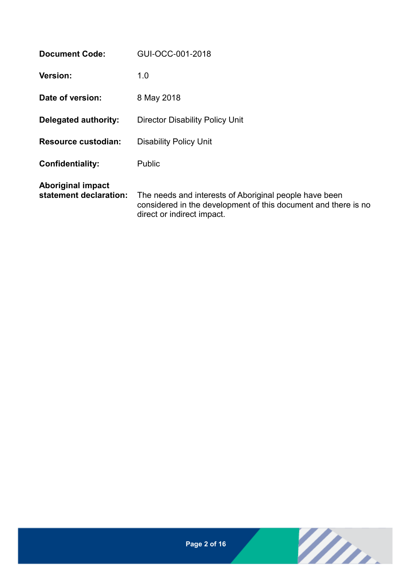| <b>Document Code:</b>                              | GUI-OCC-001-2018                                                                                                                                       |
|----------------------------------------------------|--------------------------------------------------------------------------------------------------------------------------------------------------------|
| <b>Version:</b>                                    | 1.0                                                                                                                                                    |
| Date of version:                                   | 8 May 2018                                                                                                                                             |
| Delegated authority:                               | <b>Director Disability Policy Unit</b>                                                                                                                 |
| <b>Resource custodian:</b>                         | <b>Disability Policy Unit</b>                                                                                                                          |
| <b>Confidentiality:</b>                            | Public                                                                                                                                                 |
| <b>Aboriginal impact</b><br>statement declaration: | The needs and interests of Aboriginal people have been<br>considered in the development of this document and there is no<br>direct or indirect impact. |

Win.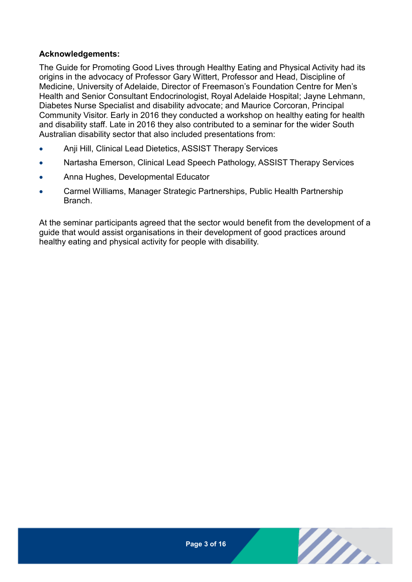#### **Acknowledgements:**

The Guide for Promoting Good Lives through Healthy Eating and Physical Activity had its origins in the advocacy of Professor Gary Wittert, Professor and Head, Discipline of Medicine, University of Adelaide, Director of Freemason's Foundation Centre for Men's Health and Senior Consultant Endocrinologist, Royal Adelaide Hospital; Jayne Lehmann, Diabetes Nurse Specialist and disability advocate; and Maurice Corcoran, Principal Community Visitor. Early in 2016 they conducted a workshop on healthy eating for health and disability staff. Late in 2016 they also contributed to a seminar for the wider South Australian disability sector that also included presentations from:

- Anji Hill, Clinical Lead Dietetics, ASSIST Therapy Services
- Nartasha Emerson, Clinical Lead Speech Pathology, ASSIST Therapy Services
- Anna Hughes, Developmental Educator
- Carmel Williams, Manager Strategic Partnerships, Public Health Partnership Branch.

At the seminar participants agreed that the sector would benefit from the development of a guide that would assist organisations in their development of good practices around healthy eating and physical activity for people with disability.



m.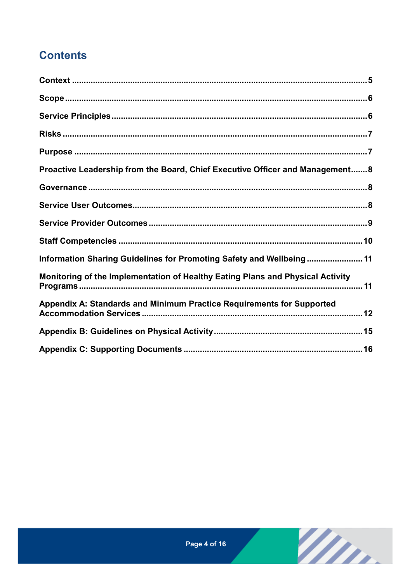# **Contents**

| Proactive Leadership from the Board, Chief Executive Officer and Management8   |  |
|--------------------------------------------------------------------------------|--|
|                                                                                |  |
|                                                                                |  |
|                                                                                |  |
|                                                                                |  |
| Information Sharing Guidelines for Promoting Safety and Wellbeing 11           |  |
| Monitoring of the Implementation of Healthy Eating Plans and Physical Activity |  |
| Appendix A: Standards and Minimum Practice Requirements for Supported          |  |
|                                                                                |  |
|                                                                                |  |

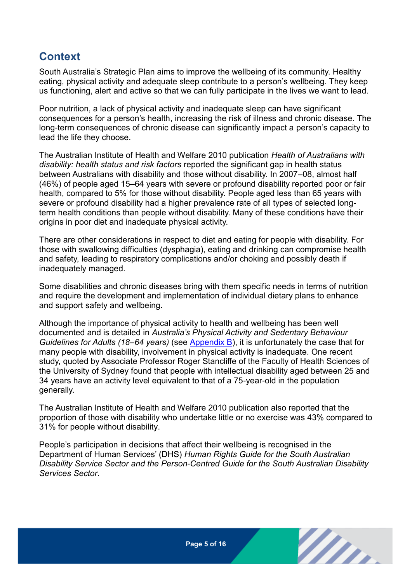### <span id="page-4-0"></span>**Context**

South Australia's Strategic Plan aims to improve the wellbeing of its community. Healthy eating, physical activity and adequate sleep contribute to a person's wellbeing. They keep us functioning, alert and active so that we can fully participate in the lives we want to lead.

Poor nutrition, a lack of physical activity and inadequate sleep can have significant consequences for a person's health, increasing the risk of illness and chronic disease. The long-term consequences of chronic disease can significantly impact a person's capacity to lead the life they choose.

The Australian Institute of Health and Welfare 2010 publication *Health of Australians with disability: health status and risk factors* reported the significant gap in health status between Australians with disability and those without disability. In 2007–08, almost half (46%) of people aged 15–64 years with severe or profound disability reported poor or fair health, compared to 5% for those without disability. People aged less than 65 years with severe or profound disability had a higher prevalence rate of all types of selected longterm health conditions than people without disability. Many of these conditions have their origins in poor diet and inadequate physical activity.

There are other considerations in respect to diet and eating for people with disability. For those with swallowing difficulties (dysphagia), eating and drinking can compromise health and safety, leading to respiratory complications and/or choking and possibly death if inadequately managed.

Some disabilities and chronic diseases bring with them specific needs in terms of nutrition and require the development and implementation of individual dietary plans to enhance and support safety and wellbeing.

Although the importance of physical activity to health and wellbeing has been well documented and is detailed in *Australia's Physical Activity and Sedentary Behaviour Guidelines for Adults (18–64 years)* (see [Appendix B\)](#page-14-0), it is unfortunately the case that for many people with disability, involvement in physical activity is inadequate. One recent study, quoted by Associate Professor Roger Stancliffe of the Faculty of Health Sciences of the University of Sydney found that people with intellectual disability aged between 25 and 34 years have an activity level equivalent to that of a 75-year-old in the population generally.

The Australian Institute of Health and Welfare 2010 publication also reported that the proportion of those with disability who undertake little or no exercise was 43% compared to 31% for people without disability.

People's participation in decisions that affect their wellbeing is recognised in the Department of Human Services' (DHS) *Human Rights Guide for the South Australian Disability Service Sector and the Person-Centred Guide for the South Australian Disability Services Sector*.

m.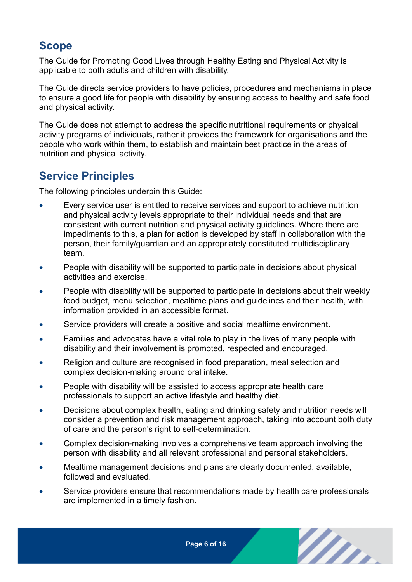### <span id="page-5-0"></span>**Scope**

The Guide for Promoting Good Lives through Healthy Eating and Physical Activity is applicable to both adults and children with disability.

The Guide directs service providers to have policies, procedures and mechanisms in place to ensure a good life for people with disability by ensuring access to healthy and safe food and physical activity.

The Guide does not attempt to address the specific nutritional requirements or physical activity programs of individuals, rather it provides the framework for organisations and the people who work within them, to establish and maintain best practice in the areas of nutrition and physical activity.

#### <span id="page-5-1"></span>**Service Principles**

The following principles underpin this Guide:

- Every service user is entitled to receive services and support to achieve nutrition and physical activity levels appropriate to their individual needs and that are consistent with current nutrition and physical activity guidelines. Where there are impediments to this, a plan for action is developed by staff in collaboration with the person, their family/guardian and an appropriately constituted multidisciplinary team.
- People with disability will be supported to participate in decisions about physical activities and exercise.
- People with disability will be supported to participate in decisions about their weekly food budget, menu selection, mealtime plans and guidelines and their health, with information provided in an accessible format.
- Service providers will create a positive and social mealtime environment.
- Families and advocates have a vital role to play in the lives of many people with disability and their involvement is promoted, respected and encouraged.
- Religion and culture are recognised in food preparation, meal selection and complex decision-making around oral intake.
- People with disability will be assisted to access appropriate health care professionals to support an active lifestyle and healthy diet.
- Decisions about complex health, eating and drinking safety and nutrition needs will consider a prevention and risk management approach, taking into account both duty of care and the person's right to self-determination.
- Complex decision-making involves a comprehensive team approach involving the person with disability and all relevant professional and personal stakeholders.
- Mealtime management decisions and plans are clearly documented, available, followed and evaluated.
- Service providers ensure that recommendations made by health care professionals are implemented in a timely fashion.

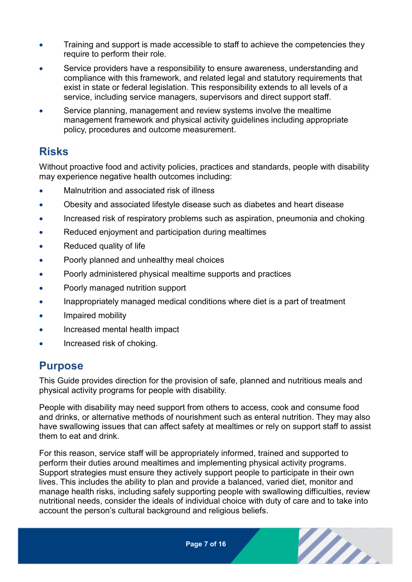- Training and support is made accessible to staff to achieve the competencies they require to perform their role.
- Service providers have a responsibility to ensure awareness, understanding and compliance with this framework, and related legal and statutory requirements that exist in state or federal legislation. This responsibility extends to all levels of a service, including service managers, supervisors and direct support staff.
- Service planning, management and review systems involve the mealtime management framework and physical activity guidelines including appropriate policy, procedures and outcome measurement.

### <span id="page-6-0"></span>**Risks**

Without proactive food and activity policies, practices and standards, people with disability may experience negative health outcomes including:

- Malnutrition and associated risk of illness
- Obesity and associated lifestyle disease such as diabetes and heart disease
- Increased risk of respiratory problems such as aspiration, pneumonia and choking
- Reduced enjoyment and participation during mealtimes
- Reduced quality of life
- Poorly planned and unhealthy meal choices
- Poorly administered physical mealtime supports and practices
- Poorly managed nutrition support
- Inappropriately managed medical conditions where diet is a part of treatment
- Impaired mobility
- Increased mental health impact
- <span id="page-6-1"></span>Increased risk of choking.

#### **Purpose**

This Guide provides direction for the provision of safe, planned and nutritious meals and physical activity programs for people with disability.

People with disability may need support from others to access, cook and consume food and drinks, or alternative methods of nourishment such as enteral nutrition. They may also have swallowing issues that can affect safety at mealtimes or rely on support staff to assist them to eat and drink.

For this reason, service staff will be appropriately informed, trained and supported to perform their duties around mealtimes and implementing physical activity programs. Support strategies must ensure they actively support people to participate in their own lives. This includes the ability to plan and provide a balanced, varied diet, monitor and manage health risks, including safely supporting people with swallowing difficulties, review nutritional needs, consider the ideals of individual choice with duty of care and to take into account the person's cultural background and religious beliefs.

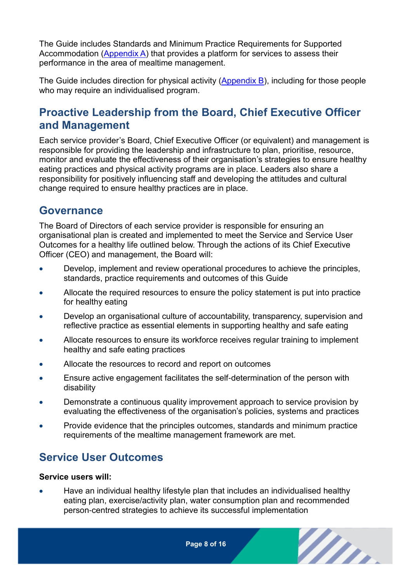The Guide includes Standards and Minimum Practice Requirements for Supported Accommodation [\(Appendix A\)](#page-11-0) that provides a platform for services to assess their performance in the area of mealtime management.

The Guide includes direction for physical activity [\(Appendix B\)](#page-14-0), including for those people who may require an individualised program.

### <span id="page-7-0"></span>**Proactive Leadership from the Board, Chief Executive Officer and Management**

Each service provider's Board, Chief Executive Officer (or equivalent) and management is responsible for providing the leadership and infrastructure to plan, prioritise, resource, monitor and evaluate the effectiveness of their organisation's strategies to ensure healthy eating practices and physical activity programs are in place. Leaders also share a responsibility for positively influencing staff and developing the attitudes and cultural change required to ensure healthy practices are in place.

#### <span id="page-7-1"></span>**Governance**

The Board of Directors of each service provider is responsible for ensuring an organisational plan is created and implemented to meet the Service and Service User Outcomes for a healthy life outlined below. Through the actions of its Chief Executive Officer (CEO) and management, the Board will:

- Develop, implement and review operational procedures to achieve the principles, standards, practice requirements and outcomes of this Guide
- Allocate the required resources to ensure the policy statement is put into practice for healthy eating
- Develop an organisational culture of accountability, transparency, supervision and reflective practice as essential elements in supporting healthy and safe eating
- Allocate resources to ensure its workforce receives regular training to implement healthy and safe eating practices
- Allocate the resources to record and report on outcomes
- Ensure active engagement facilitates the self-determination of the person with disability
- Demonstrate a continuous quality improvement approach to service provision by evaluating the effectiveness of the organisation's policies, systems and practices
- Provide evidence that the principles outcomes, standards and minimum practice requirements of the mealtime management framework are met.

### <span id="page-7-2"></span>**Service User Outcomes**

#### **Service users will:**

 Have an individual healthy lifestyle plan that includes an individualised healthy eating plan, exercise/activity plan, water consumption plan and recommended person-centred strategies to achieve its successful implementation

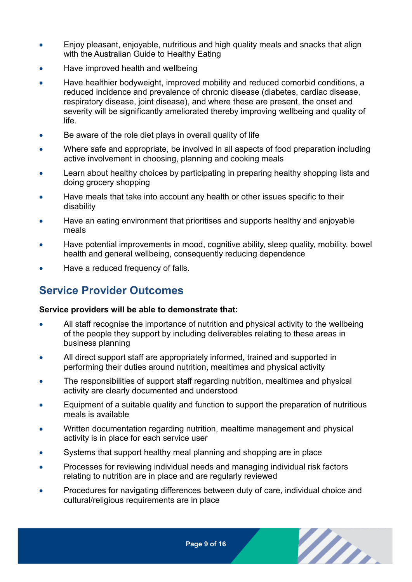- Enjoy pleasant, enjoyable, nutritious and high quality meals and snacks that align with the Australian Guide to Healthy Eating
- Have improved health and wellbeing
- Have healthier bodyweight, improved mobility and reduced comorbid conditions, a reduced incidence and prevalence of chronic disease (diabetes, cardiac disease, respiratory disease, joint disease), and where these are present, the onset and severity will be significantly ameliorated thereby improving wellbeing and quality of life.
- Be aware of the role diet plays in overall quality of life
- Where safe and appropriate, be involved in all aspects of food preparation including active involvement in choosing, planning and cooking meals
- Learn about healthy choices by participating in preparing healthy shopping lists and doing grocery shopping
- Have meals that take into account any health or other issues specific to their disability
- Have an eating environment that prioritises and supports healthy and enjoyable meals
- Have potential improvements in mood, cognitive ability, sleep quality, mobility, bowel health and general wellbeing, consequently reducing dependence
- <span id="page-8-0"></span>Have a reduced frequency of falls.

### **Service Provider Outcomes**

#### **Service providers will be able to demonstrate that:**

- All staff recognise the importance of nutrition and physical activity to the wellbeing of the people they support by including deliverables relating to these areas in business planning
- All direct support staff are appropriately informed, trained and supported in performing their duties around nutrition, mealtimes and physical activity
- The responsibilities of support staff regarding nutrition, mealtimes and physical activity are clearly documented and understood
- Equipment of a suitable quality and function to support the preparation of nutritious meals is available
- Written documentation regarding nutrition, mealtime management and physical activity is in place for each service user
- Systems that support healthy meal planning and shopping are in place
- Processes for reviewing individual needs and managing individual risk factors relating to nutrition are in place and are regularly reviewed
- Procedures for navigating differences between duty of care, individual choice and cultural/religious requirements are in place

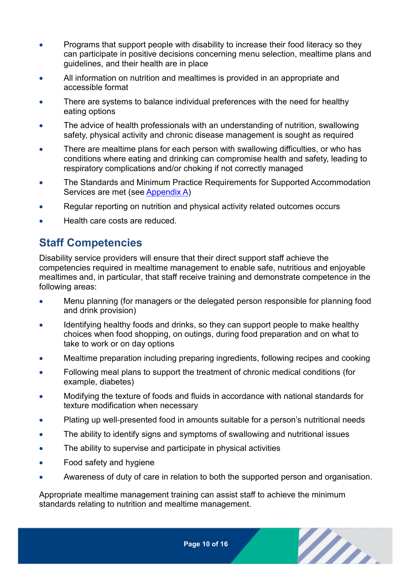- Programs that support people with disability to increase their food literacy so they can participate in positive decisions concerning menu selection, mealtime plans and guidelines, and their health are in place
- All information on nutrition and mealtimes is provided in an appropriate and accessible format
- There are systems to balance individual preferences with the need for healthy eating options
- The advice of health professionals with an understanding of nutrition, swallowing safety, physical activity and chronic disease management is sought as required
- There are mealtime plans for each person with swallowing difficulties, or who has conditions where eating and drinking can compromise health and safety, leading to respiratory complications and/or choking if not correctly managed
- The Standards and Minimum Practice Requirements for Supported Accommodation Services are met (see [Appendix A\)](#page-11-0)
- Regular reporting on nutrition and physical activity related outcomes occurs
- <span id="page-9-0"></span>Health care costs are reduced.

### **Staff Competencies**

Disability service providers will ensure that their direct support staff achieve the competencies required in mealtime management to enable safe, nutritious and enjoyable mealtimes and, in particular, that staff receive training and demonstrate competence in the following areas:

- Menu planning (for managers or the delegated person responsible for planning food and drink provision)
- Identifying healthy foods and drinks, so they can support people to make healthy choices when food shopping, on outings, during food preparation and on what to take to work or on day options
- Mealtime preparation including preparing ingredients, following recipes and cooking
- Following meal plans to support the treatment of chronic medical conditions (for example, diabetes)
- Modifying the texture of foods and fluids in accordance with national standards for texture modification when necessary
- Plating up well-presented food in amounts suitable for a person's nutritional needs
- The ability to identify signs and symptoms of swallowing and nutritional issues
- The ability to supervise and participate in physical activities
- Food safety and hygiene
- Awareness of duty of care in relation to both the supported person and organisation.

Appropriate mealtime management training can assist staff to achieve the minimum standards relating to nutrition and mealtime management.

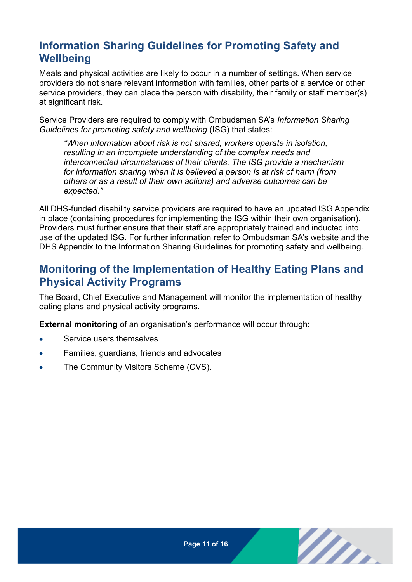# <span id="page-10-0"></span>**Information Sharing Guidelines for Promoting Safety and Wellbeing**

Meals and physical activities are likely to occur in a number of settings. When service providers do not share relevant information with families, other parts of a service or other service providers, they can place the person with disability, their family or staff member(s) at significant risk.

Service Providers are required to comply with Ombudsman SA's *Information Sharing Guidelines for promoting safety and wellbeing* (ISG) that states:

*"When information about risk is not shared, workers operate in isolation, resulting in an incomplete understanding of the complex needs and interconnected circumstances of their clients. The ISG provide a mechanism for information sharing when it is believed a person is at risk of harm (from others or as a result of their own actions) and adverse outcomes can be expected."*

All DHS-funded disability service providers are required to have an updated ISG Appendix in place (containing procedures for implementing the ISG within their own organisation). Providers must further ensure that their staff are appropriately trained and inducted into use of the updated ISG. For further information refer to Ombudsman SA's website and the DHS Appendix to the Information Sharing Guidelines for promoting safety and wellbeing.

### <span id="page-10-1"></span>**Monitoring of the Implementation of Healthy Eating Plans and Physical Activity Programs**

The Board, Chief Executive and Management will monitor the implementation of healthy eating plans and physical activity programs.

**External monitoring** of an organisation's performance will occur through:

- Service users themselves
- Families, guardians, friends and advocates
- The Community Visitors Scheme (CVS).

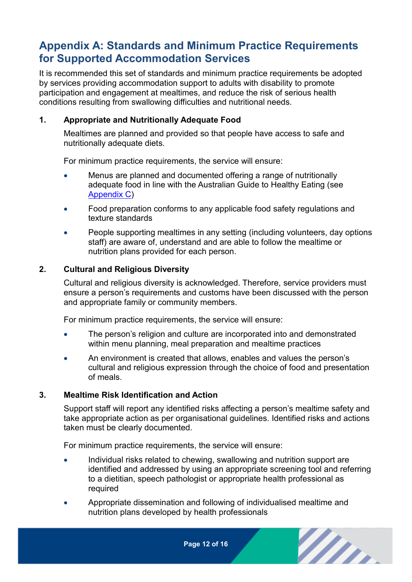### <span id="page-11-0"></span>**Appendix A: Standards and Minimum Practice Requirements for Supported Accommodation Services**

It is recommended this set of standards and minimum practice requirements be adopted by services providing accommodation support to adults with disability to promote participation and engagement at mealtimes, and reduce the risk of serious health conditions resulting from swallowing difficulties and nutritional needs.

#### **1. Appropriate and Nutritionally Adequate Food**

Mealtimes are planned and provided so that people have access to safe and nutritionally adequate diets.

For minimum practice requirements, the service will ensure:

- Menus are planned and documented offering a range of nutritionally adequate food in line with the Australian Guide to Healthy Eating (see [Appendix C\)](#page-15-0)
- Food preparation conforms to any applicable food safety regulations and texture standards
- People supporting mealtimes in any setting (including volunteers, day options staff) are aware of, understand and are able to follow the mealtime or nutrition plans provided for each person.

#### **2. Cultural and Religious Diversity**

Cultural and religious diversity is acknowledged. Therefore, service providers must ensure a person's requirements and customs have been discussed with the person and appropriate family or community members.

For minimum practice requirements, the service will ensure:

- The person's religion and culture are incorporated into and demonstrated within menu planning, meal preparation and mealtime practices
- An environment is created that allows, enables and values the person's cultural and religious expression through the choice of food and presentation of meals.

#### **3. Mealtime Risk Identification and Action**

Support staff will report any identified risks affecting a person's mealtime safety and take appropriate action as per organisational guidelines. Identified risks and actions taken must be clearly documented.

For minimum practice requirements, the service will ensure:

- Individual risks related to chewing, swallowing and nutrition support are identified and addressed by using an appropriate screening tool and referring to a dietitian, speech pathologist or appropriate health professional as required
- Appropriate dissemination and following of individualised mealtime and nutrition plans developed by health professionals

**Page 12 of 16**

m.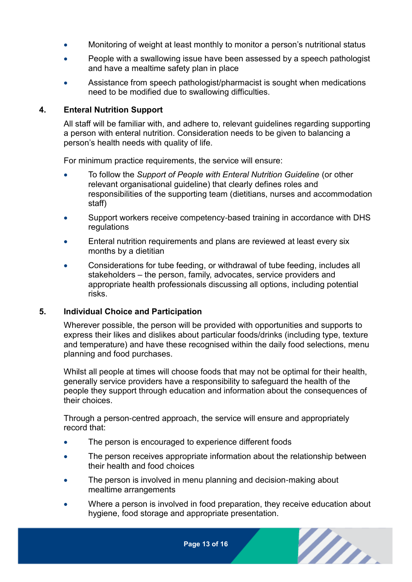- Monitoring of weight at least monthly to monitor a person's nutritional status
- People with a swallowing issue have been assessed by a speech pathologist and have a mealtime safety plan in place
- Assistance from speech pathologist/pharmacist is sought when medications need to be modified due to swallowing difficulties.

#### **4. Enteral Nutrition Support**

All staff will be familiar with, and adhere to, relevant guidelines regarding supporting a person with enteral nutrition. Consideration needs to be given to balancing a person's health needs with quality of life.

For minimum practice requirements, the service will ensure:

- To follow the *Support of People with Enteral Nutrition Guideline* (or other relevant organisational guideline) that clearly defines roles and responsibilities of the supporting team (dietitians, nurses and accommodation staff)
- Support workers receive competency-based training in accordance with DHS regulations
- Enteral nutrition requirements and plans are reviewed at least every six months by a dietitian
- Considerations for tube feeding, or withdrawal of tube feeding, includes all stakeholders – the person, family, advocates, service providers and appropriate health professionals discussing all options, including potential risks.

#### **5. Individual Choice and Participation**

Wherever possible, the person will be provided with opportunities and supports to express their likes and dislikes about particular foods/drinks (including type, texture and temperature) and have these recognised within the daily food selections, menu planning and food purchases.

Whilst all people at times will choose foods that may not be optimal for their health, generally service providers have a responsibility to safeguard the health of the people they support through education and information about the consequences of their choices.

Through a person-centred approach, the service will ensure and appropriately record that:

- The person is encouraged to experience different foods
- The person receives appropriate information about the relationship between their health and food choices
- The person is involved in menu planning and decision-making about mealtime arrangements
- Where a person is involved in food preparation, they receive education about hygiene, food storage and appropriate presentation.

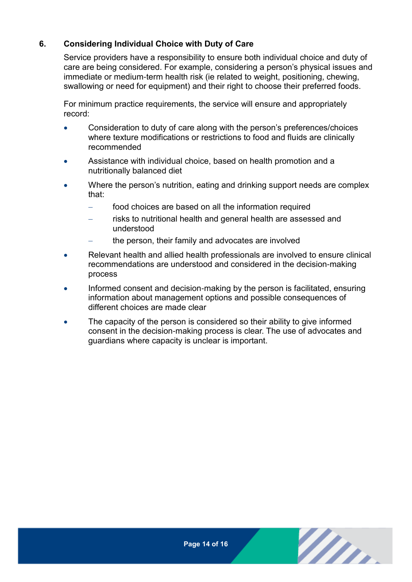#### **6. Considering Individual Choice with Duty of Care**

Service providers have a responsibility to ensure both individual choice and duty of care are being considered. For example, considering a person's physical issues and immediate or medium-term health risk (ie related to weight, positioning, chewing, swallowing or need for equipment) and their right to choose their preferred foods.

For minimum practice requirements, the service will ensure and appropriately record:

- Consideration to duty of care along with the person's preferences/choices where texture modifications or restrictions to food and fluids are clinically recommended
- Assistance with individual choice, based on health promotion and a nutritionally balanced diet
- Where the person's nutrition, eating and drinking support needs are complex that:
	- food choices are based on all the information required
	- risks to nutritional health and general health are assessed and understood
		- the person, their family and advocates are involved
- Relevant health and allied health professionals are involved to ensure clinical recommendations are understood and considered in the decision-making process
- Informed consent and decision-making by the person is facilitated, ensuring information about management options and possible consequences of different choices are made clear
- The capacity of the person is considered so their ability to give informed consent in the decision-making process is clear. The use of advocates and guardians where capacity is unclear is important.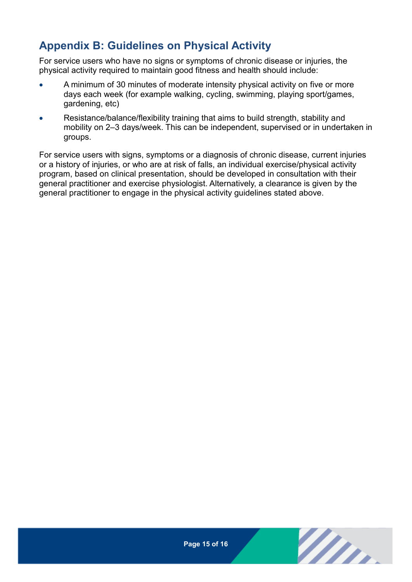# <span id="page-14-0"></span>**Appendix B: Guidelines on Physical Activity**

For service users who have no signs or symptoms of chronic disease or injuries, the physical activity required to maintain good fitness and health should include:

- A minimum of 30 minutes of moderate intensity physical activity on five or more days each week (for example walking, cycling, swimming, playing sport/games, gardening, etc)
- Resistance/balance/flexibility training that aims to build strength, stability and mobility on 2–3 days/week. This can be independent, supervised or in undertaken in groups.

For service users with signs, symptoms or a diagnosis of chronic disease, current injuries or a history of injuries, or who are at risk of falls, an individual exercise/physical activity program, based on clinical presentation, should be developed in consultation with their general practitioner and exercise physiologist. Alternatively, a clearance is given by the general practitioner to engage in the physical activity guidelines stated above.